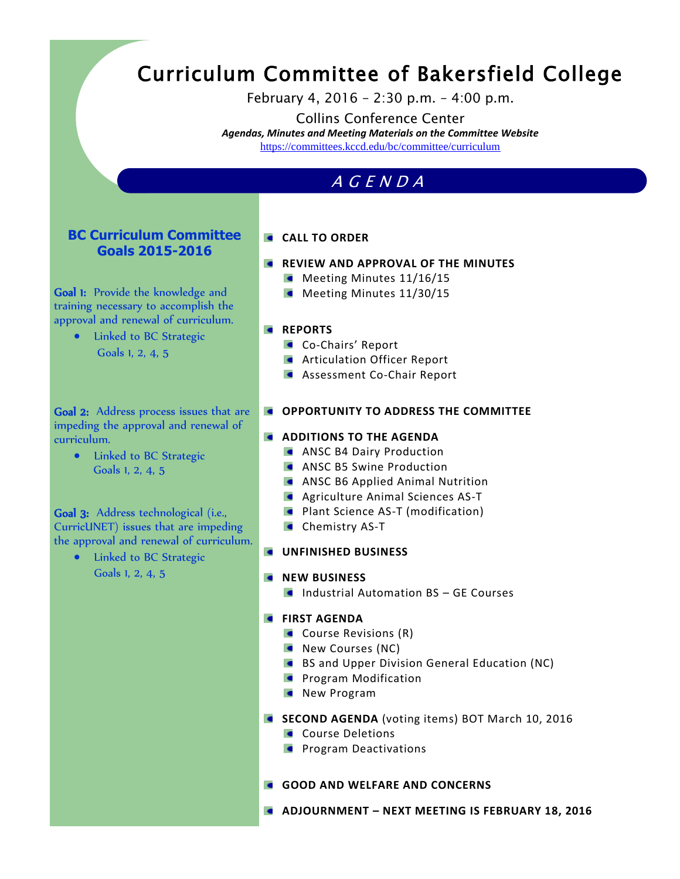# Curriculum Committee of Bakersfield College

February 4, 2016 – 2:30 p.m. – 4:00 p.m.

Collins Conference Center *Agendas, Minutes and Meeting Materials on the Committee Website*  <https://committees.kccd.edu/bc/committee/curriculum>

# A G E N D A

## **BC Curriculum Committee Goals 2015-2016**

Goal 1: Provide the knowledge and training necessary to accomplish the approval and renewal of curriculum.

> • Linked to BC Strategic Goals 1, 2, 4, 5

Goal 2: Address process issues that are impeding the approval and renewal of curriculum.

• Linked to BC Strategic Goals 1, 2, 4, 5

#### Goal 3: Address technological (i.e., CurricUNET) issues that are impeding the approval and renewal of curriculum.

• Linked to BC Strategic Goals 1, 2, 4, 5

## **CALL TO ORDER**

- **REVIEW AND APPROVAL OF THE MINUTES** 
	- $\blacksquare$  Meeting Minutes 11/16/15
	- Meeting Minutes 11/30/15

#### **REPORTS**

- Co-Chairs' Report
- **Articulation Officer Report**
- **Assessment Co-Chair Report**

#### **COPPORTUNITY TO ADDRESS THE COMMITTEE**

#### **ADDITIONS TO THE AGENDA**

- **ANSC B4 Dairy Production**
- **ANSC B5 Swine Production**
- **ANSC B6 Applied Animal Nutrition**
- **Agriculture Animal Sciences AS-T**
- **Plant Science AS-T (modification)**
- **Chemistry AS-T**
- **UNFINISHED BUSINESS**

#### $N$  **NEW BUSINESS**

**Industrial Automation BS – GE Courses** 

#### **FIRST AGENDA**

- **Course Revisions (R)**
- New Courses (NC)
- BS and Upper Division General Education (NC)
- **Program Modification**
- New Program
- **SECOND AGENDA** (voting items) BOT March 10, 2016
	- **Course Deletions**
	- **Program Deactivations**

#### **GOOD AND WELFARE AND CONCERNS**

**ADJOURNMENT – NEXT MEETING IS FEBRUARY 18, 2016**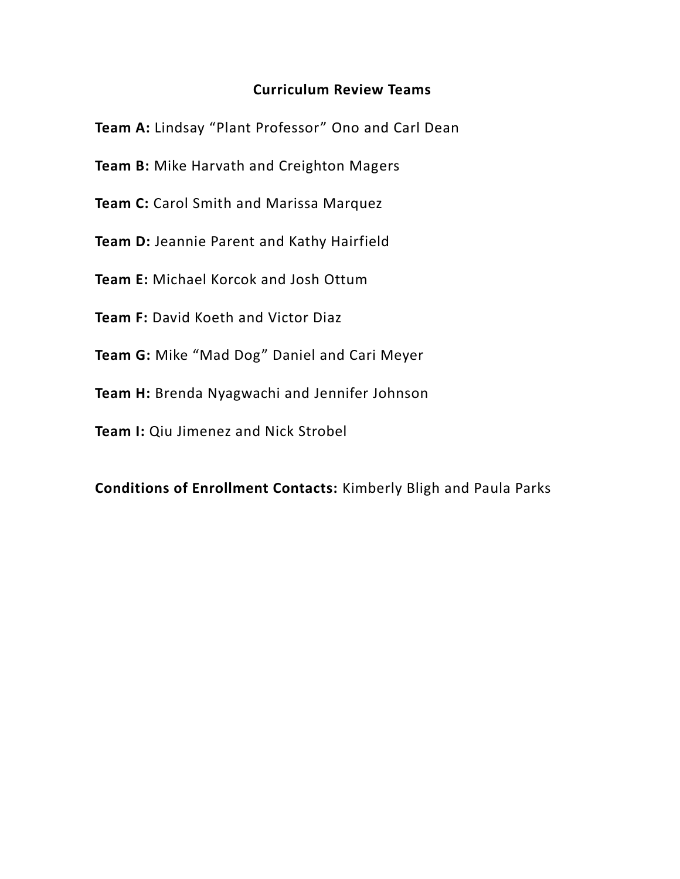# **Curriculum Review Teams**

**Team A:** Lindsay "Plant Professor" Ono and Carl Dean

**Team B:** Mike Harvath and Creighton Magers

**Team C:** Carol Smith and Marissa Marquez

**Team D:** Jeannie Parent and Kathy Hairfield

**Team E:** Michael Korcok and Josh Ottum

**Team F:** David Koeth and Victor Diaz

**Team G:** Mike "Mad Dog" Daniel and Cari Meyer

**Team H:** Brenda Nyagwachi and Jennifer Johnson

**Team I:** Qiu Jimenez and Nick Strobel

**Conditions of Enrollment Contacts:** Kimberly Bligh and Paula Parks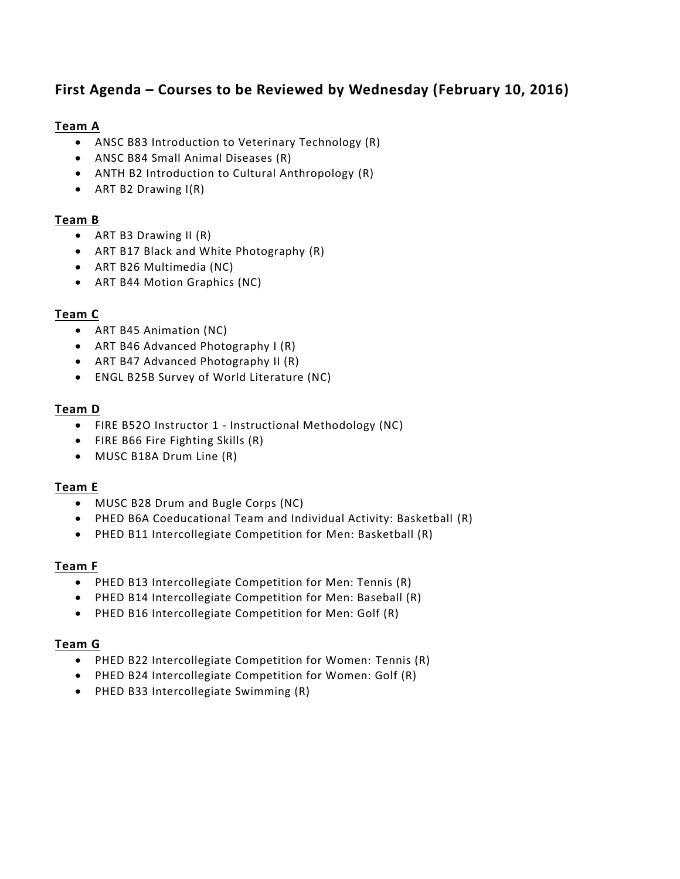# **First Agenda – Courses to be Reviewed by Wednesday (February 10, 2016)**

## **Team A**

- ANSC B83 Introduction to Veterinary Technology (R)
- ANSC B84 Small Animal Diseases (R)
- ANTH B2 Introduction to Cultural Anthropology (R)
- ART B2 Drawing I(R)

## **Team B**

- ART B3 Drawing II (R)
- ART B17 Black and White Photography (R)
- ART B26 Multimedia (NC)
- ART B44 Motion Graphics (NC)

## **Team C**

- ART B45 Animation (NC)
- ART B46 Advanced Photography I (R)
- ART B47 Advanced Photography II (R)
- ENGL B25B Survey of World Literature (NC)

#### **Team D**

- FIRE B52O Instructor 1 Instructional Methodology (NC)
- FIRE B66 Fire Fighting Skills (R)
- MUSC B18A Drum Line (R)

#### **Team E**

- MUSC B28 Drum and Bugle Corps (NC)
- PHED B6A Coeducational Team and Individual Activity: Basketball (R)
- PHED B11 Intercollegiate Competition for Men: Basketball (R)

#### **Team F**

- PHED B13 Intercollegiate Competition for Men: Tennis (R)
- PHED B14 Intercollegiate Competition for Men: Baseball (R)
- PHED B16 Intercollegiate Competition for Men: Golf (R)

#### **Team G**

- PHED B22 Intercollegiate Competition for Women: Tennis (R)
- PHED B24 Intercollegiate Competition for Women: Golf (R)
- PHED B33 Intercollegiate Swimming (R)